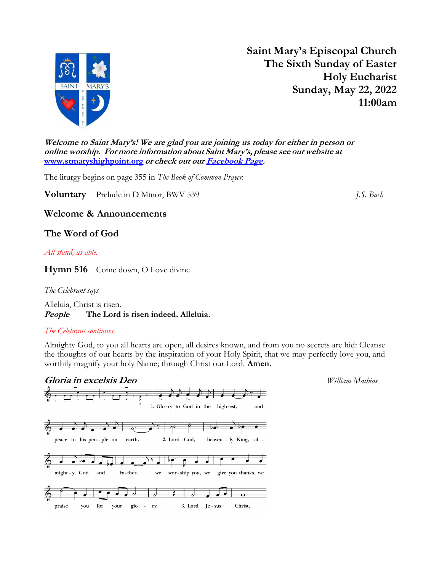

Saint Mary's Episcopal Church The Sixth Sunday of Easter Holy Eucharist Sunday, May 22, 2022 11:00am

Welcome to Saint Mary's! We are glad you are joining us today for either in person or online worship. For more information about Saint Mary's, please see our website at www.stmaryshighpoint.org or check out our Facebook Page.

The liturgy begins on page 355 in The Book of Common Prayer.

**Voluntary** Prelude in D Minor, BWV 539 *J.S. Bach* 

## Welcome & Announcements

# The Word of God

All stand, as able.

Hymn 516 Come down, O Love divine

The Celebrant says

Alleluia, Christ is risen. People The Lord is risen indeed. Alleluia.

## The Celebrant continues

Almighty God, to you all hearts are open, all desires known, and from you no secrets are hid: Cleanse the thoughts of our hearts by the inspiration of your Holy Spirit, that we may perfectly love you, and worthily magnify your holy Name; through Christ our Lord. **Amen.** 

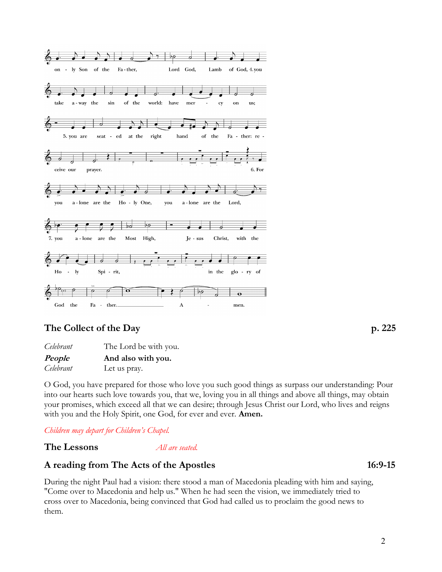

# The Collect of the Day p. 225

Celebrant The Lord be with you. People And also with you. Celebrant Let us pray.

O God, you have prepared for those who love you such good things as surpass our understanding: Pour into our hearts such love towards you, that we, loving you in all things and above all things, may obtain your promises, which exceed all that we can desire; through Jesus Christ our Lord, who lives and reigns with you and the Holy Spirit, one God, for ever and ever. **Amen.** 

Children may depart for Children's Chapel.

The Lessons *All are seated.* 

# A reading from The Acts of the Apostles 16:9-15

During the night Paul had a vision: there stood a man of Macedonia pleading with him and saying, "Come over to Macedonia and help us." When he had seen the vision, we immediately tried to cross over to Macedonia, being convinced that God had called us to proclaim the good news to them.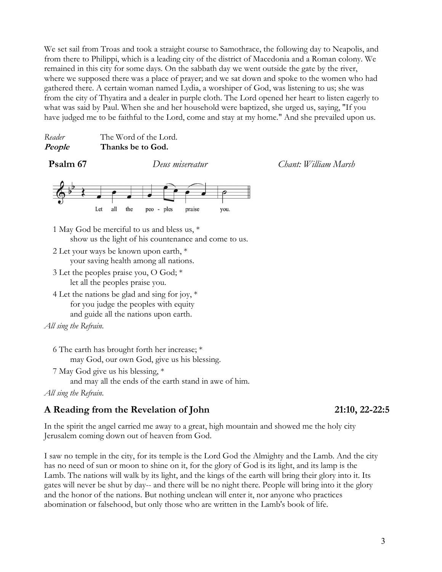We set sail from Troas and took a straight course to Samothrace, the following day to Neapolis, and from there to Philippi, which is a leading city of the district of Macedonia and a Roman colony. We remained in this city for some days. On the sabbath day we went outside the gate by the river, where we supposed there was a place of prayer; and we sat down and spoke to the women who had gathered there. A certain woman named Lydia, a worshiper of God, was listening to us; she was from the city of Thyatira and a dealer in purple cloth. The Lord opened her heart to listen eagerly to what was said by Paul. When she and her household were baptized, she urged us, saying, "If you have judged me to be faithful to the Lord, come and stay at my home." And she prevailed upon us.

| Reader | The Word of the Lord. |
|--------|-----------------------|
| People | Thanks be to God.     |

Psalm 67 Deus misereatur Chant: William Marsh



- 1 May God be merciful to us and bless us, \* show us the light of his countenance and come to us.
- 2 Let your ways be known upon earth, \* your saving health among all nations.
- 3 Let the peoples praise you, O God; \* let all the peoples praise you.
- 4 Let the nations be glad and sing for joy, \* for you judge the peoples with equity and guide all the nations upon earth.

```
All sing the Refrain.
```
- 6 The earth has brought forth her increase; \* may God, our own God, give us his blessing.
- 7 May God give us his blessing, \*

and may all the ends of the earth stand in awe of him.

All sing the Refrain.

# A Reading from the Revelation of John 21:10, 22-22:5

In the spirit the angel carried me away to a great, high mountain and showed me the holy city Jerusalem coming down out of heaven from God.

I saw no temple in the city, for its temple is the Lord God the Almighty and the Lamb. And the city has no need of sun or moon to shine on it, for the glory of God is its light, and its lamp is the Lamb. The nations will walk by its light, and the kings of the earth will bring their glory into it. Its gates will never be shut by day-- and there will be no night there. People will bring into it the glory and the honor of the nations. But nothing unclean will enter it, nor anyone who practices abomination or falsehood, but only those who are written in the Lamb's book of life.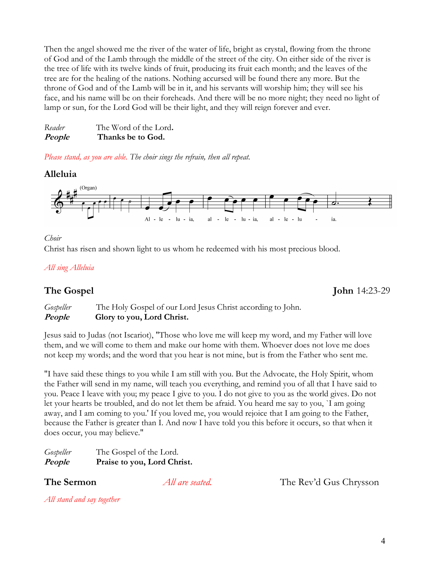Then the angel showed me the river of the water of life, bright as crystal, flowing from the throne of God and of the Lamb through the middle of the street of the city. On either side of the river is the tree of life with its twelve kinds of fruit, producing its fruit each month; and the leaves of the tree are for the healing of the nations. Nothing accursed will be found there any more. But the throne of God and of the Lamb will be in it, and his servants will worship him; they will see his face, and his name will be on their foreheads. And there will be no more night; they need no light of lamp or sun, for the Lord God will be their light, and they will reign forever and ever.

| Reader | The Word of the Lord. |
|--------|-----------------------|
| People | Thanks be to God.     |

Please stand, as you are able. The choir sings the refrain, then all repeat.

### Alleluia



#### Choir

Christ has risen and shown light to us whom he redeemed with his most precious blood.

### All sing Alleluia

Gospeller The Holy Gospel of our Lord Jesus Christ according to John. People Glory to you, Lord Christ.

Jesus said to Judas (not Iscariot), "Those who love me will keep my word, and my Father will love them, and we will come to them and make our home with them. Whoever does not love me does not keep my words; and the word that you hear is not mine, but is from the Father who sent me.

"I have said these things to you while I am still with you. But the Advocate, the Holy Spirit, whom the Father will send in my name, will teach you everything, and remind you of all that I have said to you. Peace I leave with you; my peace I give to you. I do not give to you as the world gives. Do not let your hearts be troubled, and do not let them be afraid. You heard me say to you, `I am going away, and I am coming to you.' If you loved me, you would rejoice that I am going to the Father, because the Father is greater than I. And now I have told you this before it occurs, so that when it does occur, you may believe."

| Gospeller | The Gospel of the Lord.     |
|-----------|-----------------------------|
| People    | Praise to you, Lord Christ. |

**The Sermon** *All are seated.* The Rev'd Gus Chrysson

All stand and say together

The Gospel John 14:23-29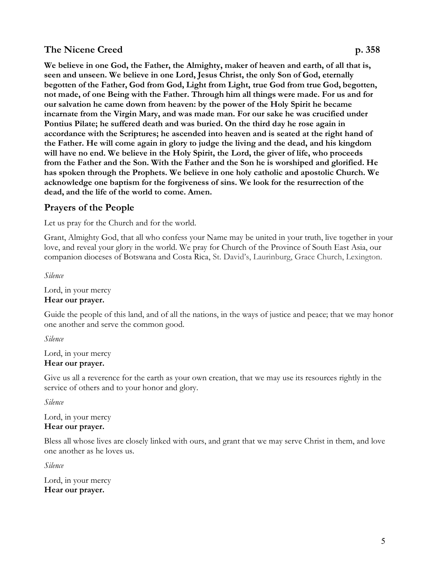# The Nicene Creed p. 358

We believe in one God, the Father, the Almighty, maker of heaven and earth, of all that is, seen and unseen. We believe in one Lord, Jesus Christ, the only Son of God, eternally begotten of the Father, God from God, Light from Light, true God from true God, begotten, not made, of one Being with the Father. Through him all things were made. For us and for our salvation he came down from heaven: by the power of the Holy Spirit he became incarnate from the Virgin Mary, and was made man. For our sake he was crucified under Pontius Pilate; he suffered death and was buried. On the third day he rose again in accordance with the Scriptures; he ascended into heaven and is seated at the right hand of the Father. He will come again in glory to judge the living and the dead, and his kingdom will have no end. We believe in the Holy Spirit, the Lord, the giver of life, who proceeds from the Father and the Son. With the Father and the Son he is worshiped and glorified. He has spoken through the Prophets. We believe in one holy catholic and apostolic Church. We acknowledge one baptism for the forgiveness of sins. We look for the resurrection of the dead, and the life of the world to come. Amen.

# Prayers of the People

Let us pray for the Church and for the world.

Grant, Almighty God, that all who confess your Name may be united in your truth, live together in your love, and reveal your glory in the world. We pray for Church of the Province of South East Asia, our companion dioceses of Botswana and Costa Rica, St. David's, Laurinburg, Grace Church, Lexington.

Silence

Lord, in your mercy Hear our prayer.

Guide the people of this land, and of all the nations, in the ways of justice and peace; that we may honor one another and serve the common good.

Silence

Lord, in your mercy Hear our prayer.

Give us all a reverence for the earth as your own creation, that we may use its resources rightly in the service of others and to your honor and glory.

Silence

Lord, in your mercy Hear our prayer.

Bless all whose lives are closely linked with ours, and grant that we may serve Christ in them, and love one another as he loves us.

Silence

Lord, in your mercy Hear our prayer.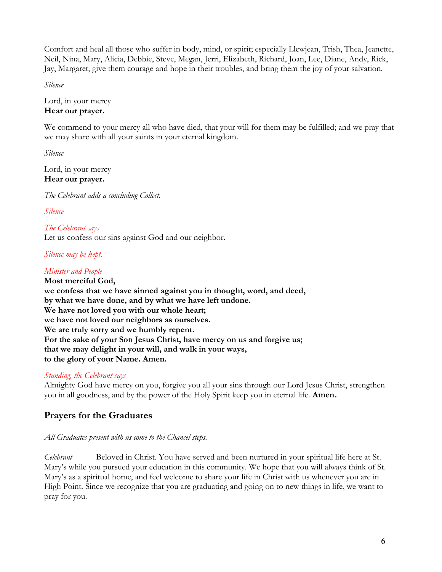Comfort and heal all those who suffer in body, mind, or spirit; especially Llewjean, Trish, Thea, Jeanette, Neil, Nina, Mary, Alicia, Debbie, Steve, Megan, Jerri, Elizabeth, Richard, Joan, Lee, Diane, Andy, Rick, Jay, Margaret, give them courage and hope in their troubles, and bring them the joy of your salvation.

Silence

Lord, in your mercy Hear our prayer.

We commend to your mercy all who have died, that your will for them may be fulfilled; and we pray that we may share with all your saints in your eternal kingdom.

Silence

Lord, in your mercy Hear our prayer.

The Celebrant adds a concluding Collect.

Silence

The Celebrant says Let us confess our sins against God and our neighbor.

Silence may be kept.

## Minister and People

Most merciful God, we confess that we have sinned against you in thought, word, and deed, by what we have done, and by what we have left undone. We have not loved you with our whole heart; we have not loved our neighbors as ourselves. We are truly sorry and we humbly repent. For the sake of your Son Jesus Christ, have mercy on us and forgive us; that we may delight in your will, and walk in your ways, to the glory of your Name. Amen.

## Standing, the Celebrant says

Almighty God have mercy on you, forgive you all your sins through our Lord Jesus Christ, strengthen you in all goodness, and by the power of the Holy Spirit keep you in eternal life. **Amen.** 

# Prayers for the Graduates

## All Graduates present with us come to the Chancel steps.

Celebrant Beloved in Christ. You have served and been nurtured in your spiritual life here at St. Mary's while you pursued your education in this community. We hope that you will always think of St. Mary's as a spiritual home, and feel welcome to share your life in Christ with us whenever you are in High Point. Since we recognize that you are graduating and going on to new things in life, we want to pray for you.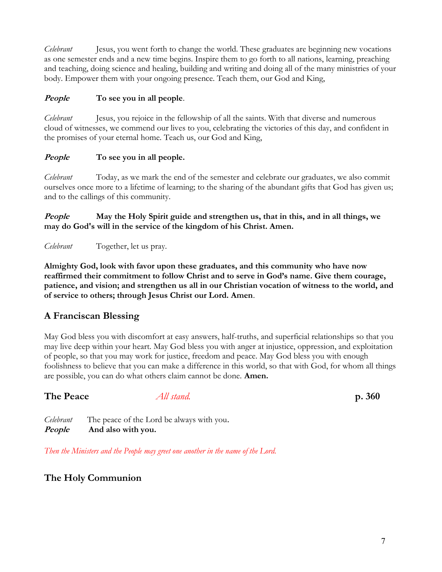Celebrant Jesus, you went forth to change the world. These graduates are beginning new vocations as one semester ends and a new time begins. Inspire them to go forth to all nations, learning, preaching and teaching, doing science and healing, building and writing and doing all of the many ministries of your body. Empower them with your ongoing presence. Teach them, our God and King,

## *People* To see you in all people.

*Celebrant* Jesus, you rejoice in the fellowship of all the saints. With that diverse and numerous cloud of witnesses, we commend our lives to you, celebrating the victories of this day, and confident in the promises of your eternal home. Teach us, our God and King,

## People To see you in all people.

Celebrant Today, as we mark the end of the semester and celebrate our graduates, we also commit ourselves once more to a lifetime of learning; to the sharing of the abundant gifts that God has given us; and to the callings of this community.

People May the Holy Spirit guide and strengthen us, that in this, and in all things, we may do God's will in the service of the kingdom of his Christ. Amen.

Celebrant Together, let us pray.

Almighty God, look with favor upon these graduates, and this community who have now reaffirmed their commitment to follow Christ and to serve in God's name. Give them courage, patience, and vision; and strengthen us all in our Christian vocation of witness to the world, and of service to others; through Jesus Christ our Lord. Amen.

# A Franciscan Blessing

May God bless you with discomfort at easy answers, half-truths, and superficial relationships so that you may live deep within your heart. May God bless you with anger at injustice, oppression, and exploitation of people, so that you may work for justice, freedom and peace. May God bless you with enough foolishness to believe that you can make a difference in this world, so that with God, for whom all things are possible, you can do what others claim cannot be done. Amen.

## The Peace All stand. p. 360

Celebrant The peace of the Lord be always with you. People And also with you.

Then the Ministers and the People may greet one another in the name of the Lord.

# The Holy Communion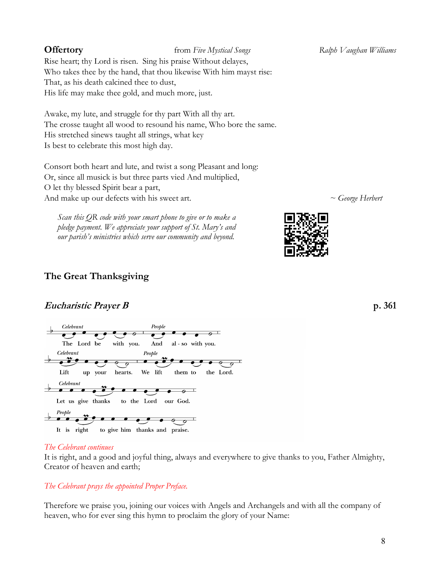**Offertory** from Five Mystical Songs Ralph Vaughan Williams Rise heart; thy Lord is risen. Sing his praise Without delayes, Who takes thee by the hand, that thou likewise With him mayst rise: That, as his death calcined thee to dust,

His life may make thee gold, and much more, just.

Awake, my lute, and struggle for thy part With all thy art. The crosse taught all wood to resound his name, Who bore the same. His stretched sinews taught all strings, what key Is best to celebrate this most high day.

Consort both heart and lute, and twist a song Pleasant and long: Or, since all musick is but three parts vied And multiplied, O let thy blessed Spirit bear a part, And make up our defects with his sweet art.  $\sim G_{\text{longe}}$  Herbert

Scan this QR code with your smart phone to give or to make a pledge payment. We appreciate your support of St. Mary's and our parish's ministries which serve our community and beyond.

People

# The Great Thanksgiving

# Eucharistic Prayer B p. 361

Celebrant



## The Celebrant continues

It is right, and a good and joyful thing, always and everywhere to give thanks to you, Father Almighty, Creator of heaven and earth;

# The Celebrant prays the appointed Proper Preface.

Therefore we praise you, joining our voices with Angels and Archangels and with all the company of heaven, who for ever sing this hymn to proclaim the glory of your Name: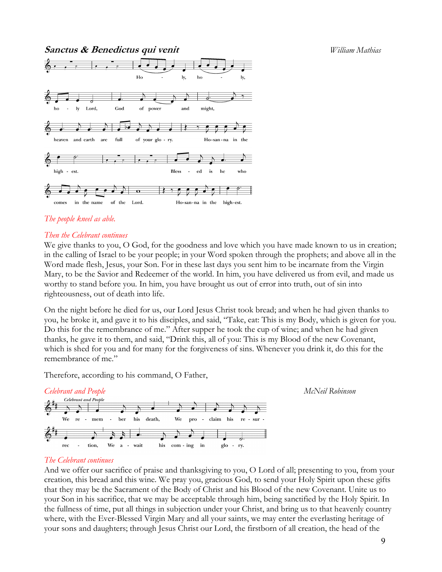Sanctus & Benedictus qui venit entrarelation de la materiale de la materiale de la materiale de la materiale d



### The people kneel as able.

#### Then the Celebrant continues

We give thanks to you, O God, for the goodness and love which you have made known to us in creation; in the calling of Israel to be your people; in your Word spoken through the prophets; and above all in the Word made flesh, Jesus, your Son. For in these last days you sent him to be incarnate from the Virgin Mary, to be the Savior and Redeemer of the world. In him, you have delivered us from evil, and made us worthy to stand before you. In him, you have brought us out of error into truth, out of sin into righteousness, out of death into life.

On the night before he died for us, our Lord Jesus Christ took bread; and when he had given thanks to you, he broke it, and gave it to his disciples, and said, "Take, eat: This is my Body, which is given for you. Do this for the remembrance of me." After supper he took the cup of wine; and when he had given thanks, he gave it to them, and said, "Drink this, all of you: This is my Blood of the new Covenant, which is shed for you and for many for the forgiveness of sins. Whenever you drink it, do this for the remembrance of me."

Therefore, according to his command, O Father,



#### The Celebrant continues

And we offer our sacrifice of praise and thanksgiving to you, O Lord of all; presenting to you, from your creation, this bread and this wine. We pray you, gracious God, to send your Holy Spirit upon these gifts that they may be the Sacrament of the Body of Christ and his Blood of the new Covenant. Unite us to your Son in his sacrifice, that we may be acceptable through him, being sanctified by the Holy Spirit. In the fullness of time, put all things in subjection under your Christ, and bring us to that heavenly country where, with the Ever-Blessed Virgin Mary and all your saints, we may enter the everlasting heritage of your sons and daughters; through Jesus Christ our Lord, the firstborn of all creation, the head of the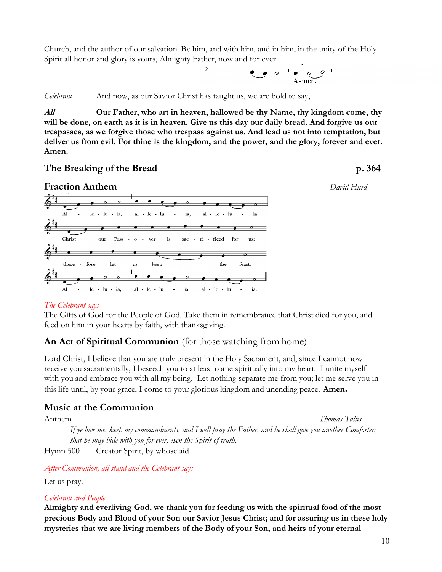Church, and the author of our salvation. By him, and with him, and in him, in the unity of the Holy Spirit all honor and glory is yours, Almighty Father, now and for ever.



Celebrant And now, as our Savior Christ has taught us, we are bold to say,

All **Our Father, who art in heaven, hallowed be thy Name, thy kingdom come, thy** will be done, on earth as it is in heaven. Give us this day our daily bread. And forgive us our trespasses, as we forgive those who trespass against us. And lead us not into temptation, but deliver us from evil. For thine is the kingdom, and the power, and the glory, forever and ever. Amen.

### The Breaking of the Bread p. 364





#### The Celebrant says

The Gifts of God for the People of God. Take them in remembrance that Christ died for you, and feed on him in your hearts by faith, with thanksgiving.

## An Act of Spiritual Communion (for those watching from home)

Lord Christ, I believe that you are truly present in the Holy Sacrament, and, since I cannot now receive you sacramentally, I beseech you to at least come spiritually into my heart. I unite myself with you and embrace you with all my being. Let nothing separate me from you; let me serve you in this life until, by your grace, I come to your glorious kingdom and unending peace. Amen.

## Music at the Communion

Anthem Thomas Tallis If ye love me, keep my commandments, and I will pray the Father, and he shall give you another Comforter; that he may bide with you for ever, even the Spirit of truth.

Hymn 500 Creator Spirit, by whose aid

After Communion, all stand and the Celebrant says

Let us pray.

#### Celebrant and People

Almighty and everliving God, we thank you for feeding us with the spiritual food of the most precious Body and Blood of your Son our Savior Jesus Christ; and for assuring us in these holy mysteries that we are living members of the Body of your Son, and heirs of your eternal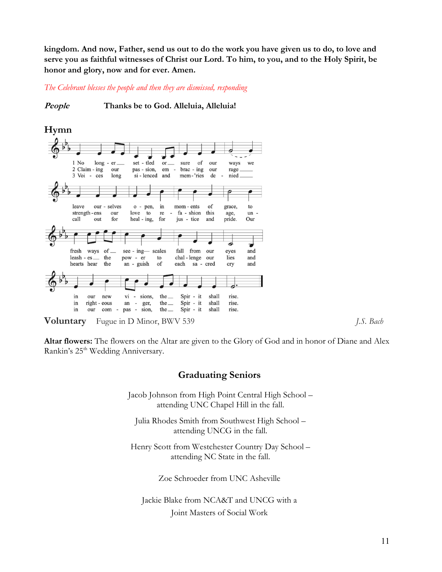kingdom. And now, Father, send us out to do the work you have given us to do, to love and serve you as faithful witnesses of Christ our Lord. To him, to you, and to the Holy Spirit, be honor and glory, now and for ever. Amen.

The Celebrant blesses the people and then they are dismissed, responding

People Thanks be to God. Alleluia, Alleluia!



Altar flowers: The flowers on the Altar are given to the Glory of God and in honor of Diane and Alex Rankin's 25<sup>th</sup> Wedding Anniversary.

## Graduating Seniors

Jacob Johnson from High Point Central High School – attending UNC Chapel Hill in the fall.

Julia Rhodes Smith from Southwest High School – attending UNCG in the fall.

Henry Scott from Westchester Country Day School – attending NC State in the fall.

Zoe Schroeder from UNC Asheville

Jackie Blake from NCA&T and UNCG with a Joint Masters of Social Work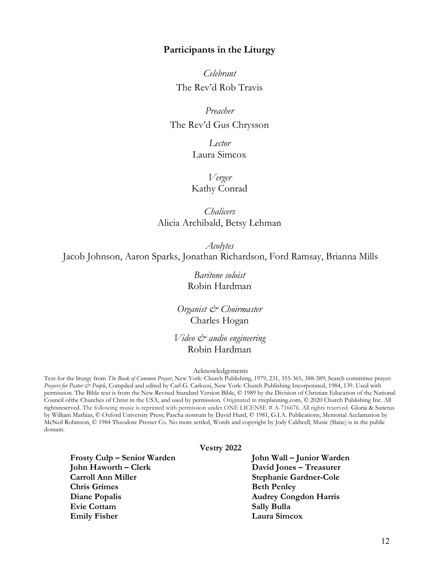### Participants in the Liturgy

Celebrant The Rev'd Rob Travis

Preacher The Rev'd Gus Chrysson

> Lector Laura Simcox

Verger Kathy Conrad

**Chalicers** Alicia Archibald, Betsy Lehman

Acolytes Jacob Johnson, Aaron Sparks, Jonathan Richardson, Ford Ramsay, Brianna Mills

> Baritone soloist Robin Hardman

Organist & Choirmaster Charles Hogan

Video & audio engineering Robin Hardman

#### Acknowledgements

Text for the liturgy from The Book of Common Prayer, New York: Church Publishing, 1979, 231, 355-365, 388-389; Search committee prayer: Prayers for Pastor & People, Compiled and edited by Carl G. Carlozzi, New York: Church Publishing Incorporated, 1984, 139. Used with permission. The Bible text is from the New Revised Standard Version Bible, © 1989 by the Division of Christian Education of the National Council of the Churches of Christ in the USA, and used by permission. Originated in riteplanning.com, C 2020 Church Publishing Inc. All rights reserved. The following music is reprinted with permission under ONE LICENSE # A-716676. All rights reserved. Gloria & Sanctus by William Mathias, © Oxford University Press; Pascha nostrum by David Hurd, © 1981, G.I.A. Publications; Memorial Acclamation by McNeil Robinson, © 1984 Theodore Presser Co. No more settled, Words and copyright by Jody Caldwell; Music (Slane) is in the public domain.

Vestry 2022

Frosty Culp – Senior Warden John Wall – Junior Warden John Haworth – Clerk David Jones – Treasurer Carroll Ann Miller Stephanie Gardner-Cole Chris Grimes Beth Penley Diane Popalis Audrey Congdon Harris Evie Cottam Sally Bulla Emily Fisher Laura Simcox